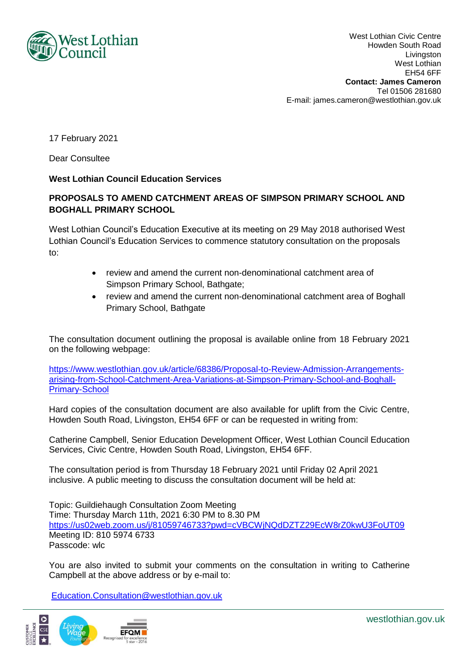

West Lothian Civic Centre Howden South Road Livingston West Lothian EH54 6FF **Contact: James Cameron** Tel 01506 281680 E-mail: james.cameron@westlothian.gov.uk

17 February 2021

Dear Consultee

## **West Lothian Council Education Services**

## **PROPOSALS TO AMEND CATCHMENT AREAS OF SIMPSON PRIMARY SCHOOL AND BOGHALL PRIMARY SCHOOL**

West Lothian Council's Education Executive at its meeting on 29 May 2018 authorised West Lothian Council's Education Services to commence statutory consultation on the proposals to:

- review and amend the current non-denominational catchment area of Simpson Primary School, Bathgate;
- review and amend the current non-denominational catchment area of Boghall Primary School, Bathgate

The consultation document outlining the proposal is available online from 18 February 2021 on the following webpage:

[https://www.westlothian.gov.uk/article/68386/Proposal-to-Review-Admission-Arrangements](https://www.westlothian.gov.uk/article/68386/Proposal-to-Review-Admission-Arrangements-arising-from-School-Catchment-Area-Variations-at-Simpson-Primary-School-and-Boghall-Primary-School)[arising-from-School-Catchment-Area-Variations-at-Simpson-Primary-School-and-Boghall-](https://www.westlothian.gov.uk/article/68386/Proposal-to-Review-Admission-Arrangements-arising-from-School-Catchment-Area-Variations-at-Simpson-Primary-School-and-Boghall-Primary-School)[Primary-School](https://www.westlothian.gov.uk/article/68386/Proposal-to-Review-Admission-Arrangements-arising-from-School-Catchment-Area-Variations-at-Simpson-Primary-School-and-Boghall-Primary-School)

Hard copies of the consultation document are also available for uplift from the Civic Centre, Howden South Road, Livingston, EH54 6FF or can be requested in writing from:

Catherine Campbell, Senior Education Development Officer, West Lothian Council Education Services, Civic Centre, Howden South Road, Livingston, EH54 6FF.

The consultation period is from Thursday 18 February 2021 until Friday 02 April 2021 inclusive. A public meeting to discuss the consultation document will be held at:

Topic: Guildiehaugh Consultation Zoom Meeting Time: Thursday March 11th, 2021 6:30 PM to 8.30 PM <https://us02web.zoom.us/j/81059746733?pwd=cVBCWjNQdDZTZ29EcW8rZ0kwU3FoUT09> Meeting ID: 810 5974 6733 Passcode: wlc

You are also invited to submit your comments on the consultation in writing to Catherine Campbell at the above address or by e-mail to:

[Education.Consultation@westlothian.gov.uk](mailto:Education.Consultation@westlothian.gov.uk)



westlothian.gov.uk